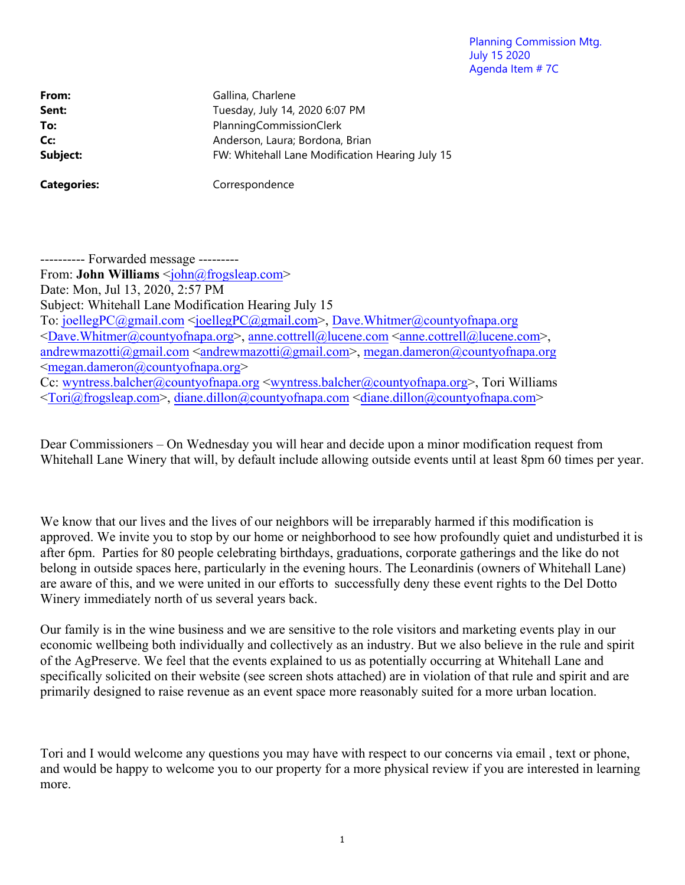Planning Commission Mtg. July 15 2020 Agenda Item # 7C

From: Gallina, Charlene **Sent:** Tuesday, July 14, 2020 6:07 PM **To:** PlanningCommissionClerk **Cc:** Anderson, Laura; Bordona, Brian **Subject: EXALL SUBJECT:** FW: Whitehall Lane Modification Hearing July 15

Categories: Correspondence

---------- Forwarded message --------- From: **John Williams** <*john@frogsleap.com>* Date: Mon, Jul 13, 2020, 2:57 PM Subject: Whitehall Lane Modification Hearing July 15 To: joellegPC@gmail.com <joellegPC@gmail.com>, Dave.Whitmer@countyofnapa.org <Dave.Whitmer@countyofnapa.org>, anne.cottrell@lucene.com <anne.cottrell@lucene.com>, andrewmazotti@gmail.com <andrewmazotti@gmail.com>, megan.dameron@countyofnapa.org <megan.dameron@countyofnapa.org> Cc: wyntress.balcher@countyofnapa.org <wyntress.balcher@countyofnapa.org>, Tori Williams  $\langle$ Tori@frogsleap.com>, diane.dillon@countyofnapa.com $\langle$ diane.dillon@countyofnapa.com>

Dear Commissioners – On Wednesday you will hear and decide upon a minor modification request from Whitehall Lane Winery that will, by default include allowing outside events until at least 8pm 60 times per year.

We know that our lives and the lives of our neighbors will be irreparably harmed if this modification is approved. We invite you to stop by our home or neighborhood to see how profoundly quiet and undisturbed it is after 6pm. Parties for 80 people celebrating birthdays, graduations, corporate gatherings and the like do not belong in outside spaces here, particularly in the evening hours. The Leonardinis (owners of Whitehall Lane) are aware of this, and we were united in our efforts to successfully deny these event rights to the Del Dotto Winery immediately north of us several years back.

Our family is in the wine business and we are sensitive to the role visitors and marketing events play in our economic wellbeing both individually and collectively as an industry. But we also believe in the rule and spirit of the AgPreserve. We feel that the events explained to us as potentially occurring at Whitehall Lane and specifically solicited on their website (see screen shots attached) are in violation of that rule and spirit and are primarily designed to raise revenue as an event space more reasonably suited for a more urban location.

Tori and I would welcome any questions you may have with respect to our concerns via email , text or phone, and would be happy to welcome you to our property for a more physical review if you are interested in learning more.